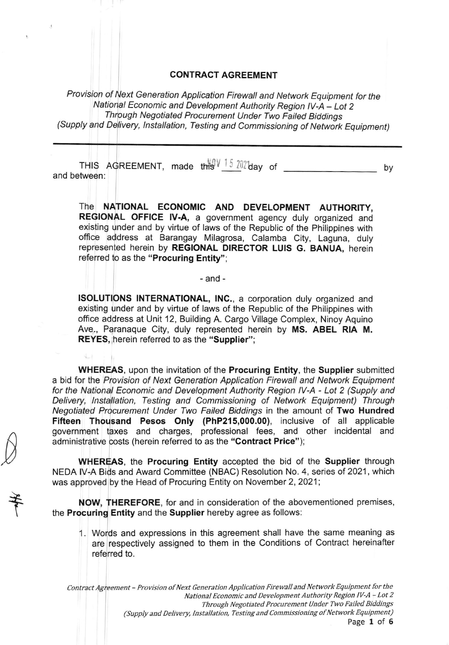## CONTRACT AGREEMENT

Provision of Next Generation Application Firewall and Network Equipment for the National Economic and Development Authority Region lV-A - Lot <sup>2</sup> - (Supply and Delivery, lnstallation, Testing and Commissioning of Network Equipment) Through Negotiated Procurement Under Two Failed Biddings

THIS AqREEMENT, ,"0. ,tti\$IJ 5 Z;iibay of by and between:

The NATIONAL ECONOMIC AND DEVELOPMENT AUTHORITY, REGIONAL OFFICE IV-A, a government agency duly organized and existing under and by virtue of laws of the Republic of the Philippines with office address at Barangay Milagrosa, Calamba City, Laguna, duly represented herein by REGIONAL DIRECTOR LUIS G. BANUA, herein referred to as the "Procuring Entity";

## -and-

ISOLUTIONS INTERNATIONAL, lNC., a corporation duly organized and existing under and by virtue of laws of the Republic of the Philippines with offlce address at Unit 12, Building A. Cargo Village Complex, Ninoy Aquino Ave., Paranaque City, duly represented herein by MS. ABEL RIA M. REYES, herein referred to as the "Supplier";

WHEREAS, upon the invitation of the Procuring Entity, the Supplier submitted a bid for the Provision of Next Generation Application Firewall and Network Equipment for the National Economic and Development Authority Region lV-A - Lot 2 (Supply and Delivery, lnstallation, Testing and Commissioning of Network Equipment) Through Negotiated Procurement Under Two Failed Biddings in the amount of Two Hundred Fifteen Thousand Pesos Only (PhP215,000.00), inclusive of all applicable government taxes and charges, professional fees, and other incidental and administrative costs (herein referred to as the "Contract Price");

WHEREAS, the Procuring Entity accepted the bid of the Supplier through NEDA lV-A Bids and Award Committee (NBAC) Resolution No. 4, series of 2021 , which was approved by the Head of Procuring Entity on November 2, 2021;

NOW, THEREFORE, for and in consideration of the abovementioned premises, the Procuring Entity and the Supplier hereby agree as follows:

the

 $\mathcal{Y}$ 

1. Words and expressions in this agreement shall have the same meaning as are respectively assigned to them in the Conditions of Contract hereinafter referred to.

Contract Agreement - Provision of Next Generation Application Firewall and Network Equipment for the National Economic and Development Authority Region lV-A - Lot 2 Through Negotiated Procurement IJnder Two Failed Biddings (Supply and Delivery, Installation, Testing and Commissioning of Network Equipment) Page 1 of 6